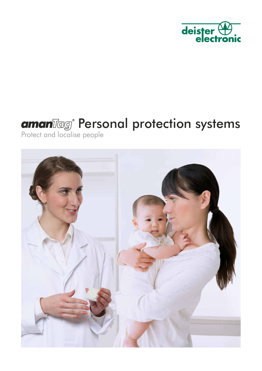

# Personal protection systems

Protect and localise people

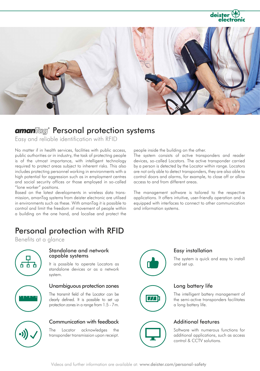deis



## amanlleg Personal protection systems

Easy and reliable identification with RFID

No matter if in health services, facilities with public access, public authorities or in industry, the task of protecting people is of the utmost importance, with intelligent technology required to protect areas subject to inherent risks. This also includes protecting personnel working in environments with a high potential for aggression such as in employment centres and social security offices or those employed in so-called "lone worker" positions.

Based on the latest developments in wireless data transmission, amanTag systems from deister electronic are utilised in environments such as these. With amanTag it is possible to control and limit the freedom of movement of people within a building on the one hand, and localise and protect the

## Personal protection with RFID

Benefits at a glance



#### Standalone and network capable systems

It is possible to operate Locators as standalone devices or as a network system.



#### Unambiguous protection zones

The transmit field of the Locator can be clearly defined. It is possible to set up protection zones in a range from 1.5 - 7m.



### Communication with feedback

The Locator acknowledges the transponder transmission upon receipt.



### Easy installation

The system is quick and easy to install and set up.

### Long battery life

The intelligent battery management of the semi-active transponders facilitates a long battery life.

### Additional features

Software with numerous functions for additional applications, such as access control & CCTV solutions.

people inside the building on the other.

The system consists of active transponders and reader devices, so-called Locators. The active transponder carried by a person is detected by the Locator within range. Locators are not only able to detect transponders, they are also able to control doors and alarms, for example, to close off or allow access to and from different areas.

The management software is tailored to the respective applications. It offers intuitive, user-friendly operation and is equipped with interfaces to connect to other communication and information systems.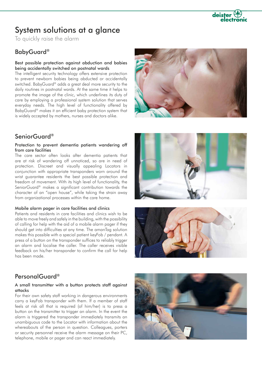

## System solutions at a glance

To quickly raise the alarm

## BabyGuard®

#### Best possible protection against abduction and babies being accidentally switched on postnatal wards

The intelligent security technology offers extensive protection to prevent newborn babies being abducted or accidentally switched. BabyGuard® adds a great deal more security to the daily routines in postnatal wards. At the same time it helps to promote the image of the clinic, which underlines its duty of care by employing a professional system solution that serves everyday needs. The high level of functionality offered by BabyGuard® makes it an efficient baby protection system that is widely accepted by mothers, nurses and doctors alike.

## SeniorGuard®

#### Protection to prevent dementia patients wandering off from care facilities

The care sector often looks after dementia patients that are at risk of wandering off unnoticed, so are in need of protection. Discreet and visually appealing Locators in conjunction with appropriate transponders worn around the wrist guarantee residents the best possible protection and freedom of movement. With its high level of functionality, the SeniorGuard® makes a significant contribution towards the character of an "open house", while taking the strain away from organizational processes within the care home.

#### Mobile alarm pager in care facilities and clinics

Patients and residents in care facilities and clinics wish to be able to move freely and safely in the building, with the possibility of calling for help with the aid of a mobile alarm pager if they should get into difficulties at any time. The amanTag solution makes this possible with a special patient keyFob / pendant. A press of a button on the transponder suffices to reliably trigger an alarm and localise the caller. The caller receives visible feedback on his/her transponder to confirm the call for help has been made.







### PersonalGuard®

#### A small transmitter with a button protects staff against attacks

For their own safety staff working in dangerous environments carry a keyFob transponder with them. If a member of staff feels at risk all that is required (of him/her) is to press a button on the transmitter to trigger an alarm. In the event the alarm is triggered the transponder immediately transmits an unambiguous code to the Locator with information about the whereabouts of the person in question. Colleagues, porters or security personnel receive the alarm message on their PC, telephone, mobile or pager and can react immediately.

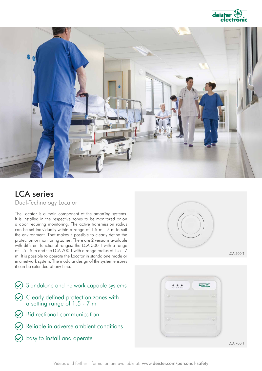



## LCA series

Dual-Technology Locator

The Locator is a main component of the amanTag systems. It is installed in the respective zones to be monitored or on a door requiring monitoring. The active transmission radius can be set individually within a range of 1.5 m - 7 m to suit the environment. That makes it possible to clearly define the protection or monitoring zones. There are 2 versions available with different functional ranges: the LCA 500 T with a range of 1.5 - 5 m and the LCA 700 T with a range radius of 1.5 - 7 m. It is possible to operate the Locator in standalone mode or in a network system. The modular design of the system ensures it can be extended at any time.

- $\odot$  Standalone and network capable systems Bidirectional communication  $\odot$  Clearly defined protection zones with a setting range of 1.5 - 7 m
- Reliable in adverse ambient conditions
- Easy to install and operate



LCA 500 T



LCA 700 T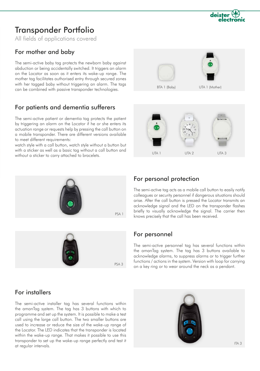UTA 1 (Mother)

## Transponder Portfolio

All fields of applications covered

## For mother and baby

The semi-active baby tag protects the newborn baby against abduction or being accidentally switched. It triggers an alarm on the Locator as soon as it enters its wake-up range. The mother tag facilitates authorised entry through secured zones with her tagged baby without triggering an alarm. The tags can be combined with passive transponder technologies.

## For patients and dementia sufferers

The semi-active patient or dementia tag protects the patient by triggering an alarm on the Locator if he or she enters its actuation range or requests help by pressing the call button on a mobile transponder. There are different versions available to meet different requirements:

watch style with a call button, watch style without a button but with a sticker as well as a basic tag without a call button and without a sticker to carry attached to bracelets.



## For personal protection

BTA 1 (Baby)

The semi-active tag acts as a mobile call button to easily notify colleagues or security personnel if dangerous situations should arise. After the call button is pressed the Locator transmits an acknowledge signal and the LED on the transponder flashes briefly to visually acknowledge the signal. The carrier then knows precisely that the call has been received.

UTA 1 UTA 2 UTA 3

## For personnel

The semi-active personnel tag has several functions within the amanTag system. The tag has 3 buttons available to acknowledge alarms, to suppress alarms or to trigger further functions / actions in the system. Version with loop for carrying ps a statement of the system. Version with loop for car<br>on a key ring or to wear around the neck as a pendant.

## For installers

The semi-active installer tag has several functions within the amanTag system. The tag has 3 buttons with which to programme and set up the system. It is possible to make a test call using the large call button. The two smaller buttons are used to increase or reduce the size of the wake-up range of the Locator. The LED indicates that the transponder is located within the wake-up range. That makes it possible to use this transponder to set up the wake-up range perfectly and test it at regular intervals.



ITA 3